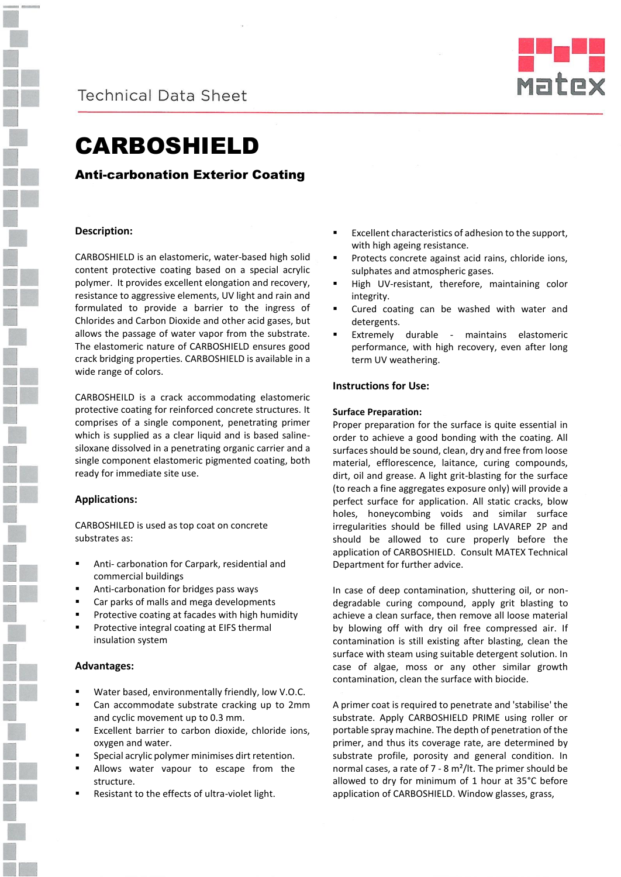



# CARBOSHIELD

## Anti-carbonation Exterior Coating

## **Description:**

CARBOSHIELD is an elastomeric, water-based high solid content protective coating based on a special acrylic polymer. It provides excellent elongation and recovery, resistance to aggressive elements, UV light and rain and formulated to provide a barrier to the ingress of Chlorides and Carbon Dioxide and other acid gases, but allows the passage of water vapor from the substrate. The elastomeric nature of CARBOSHIELD ensures good crack bridging properties. CARBOSHIELD is available in a wide range of colors.

CARBOSHEILD is a crack accommodating elastomeric protective coating for reinforced concrete structures. It comprises of a single component, penetrating primer which is supplied as a clear liquid and is based salinesiloxane dissolved in a penetrating organic carrier and a single component elastomeric pigmented coating, both ready for immediate site use.

## **Applications:**

CARBOSHILED is used as top coat on concrete substrates as:

- Anti- carbonation for Carpark, residential and commercial buildings
- Anti-carbonation for bridges pass ways
- Car parks of malls and mega developments
- Protective coating at facades with high humidity
- Protective integral coating at EIFS thermal insulation system

## **Advantages:**

- Water based, environmentally friendly, low V.O.C.
- Can accommodate substrate cracking up to 2mm and cyclic movement up to 0.3 mm.
- Excellent barrier to carbon dioxide, chloride ions, oxygen and water.
- Special acrylic polymer minimises dirt retention.
- Allows water vapour to escape from the structure.
- Resistant to the effects of ultra-violet light.
- Excellent characteristics of adhesion to the support, with high ageing resistance.
- Protects concrete against acid rains, chloride ions, sulphates and atmospheric gases.
- High UV-resistant, therefore, maintaining color integrity.
- Cured coating can be washed with water and detergents.
- Extremely durable maintains elastomeric performance, with high recovery, even after long term UV weathering.

## **Instructions for Use:**

#### **Surface Preparation:**

Proper preparation for the surface is quite essential in order to achieve a good bonding with the coating. All surfaces should be sound, clean, dry and free from loose material, efflorescence, laitance, curing compounds, dirt, oil and grease. A light grit-blasting for the surface (to reach a fine aggregates exposure only) will provide a perfect surface for application. All static cracks, blow holes, honeycombing voids and similar surface irregularities should be filled using LAVAREP 2P and should be allowed to cure properly before the application of CARBOSHIELD. Consult MATEX Technical Department for further advice.

In case of deep contamination, shuttering oil, or nondegradable curing compound, apply grit blasting to achieve a clean surface, then remove all loose material by blowing off with dry oil free compressed air. If contamination is still existing after blasting, clean the surface with steam using suitable detergent solution. In case of algae, moss or any other similar growth contamination, clean the surface with biocide.

A primer coat is required to penetrate and 'stabilise' the substrate. Apply CARBOSHIELD PRIME using roller or portable spray machine. The depth of penetration of the primer, and thus its coverage rate, are determined by substrate profile, porosity and general condition. In normal cases, a rate of 7 - 8 m²/lt. The primer should be allowed to dry for minimum of 1 hour at 35°C before application of CARBOSHIELD. Window glasses, grass,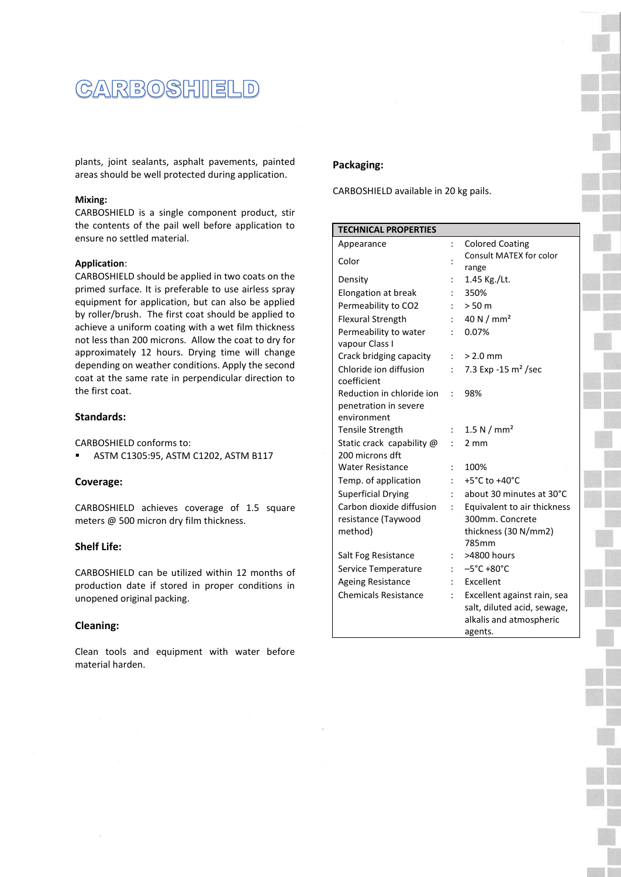

plants, joint sealants, asphalt pavements, painted areas should be well protected during application.

## **Mixing:**

CARBOSHIELD is a single component product, stir the contents of the pail well before application to ensure no settled material.

#### **Application**:

CARBOSHIELD should be applied in two coats on the primed surface. It is preferable to use airless spray equipment for application, but can also be applied by roller/brush. The first coat should be applied to achieve a uniform coating with a wet film thickness not less than 200 microns. Allow the coat to dry for approximately 12 hours. Drying time will change depending on weather conditions. Apply the second coat at the same rate in perpendicular direction to the first coat.

## **Standards:**

CARBOSHIELD conforms to:

**ASTM C1305:95, ASTM C1202, ASTM B117** 

#### **Coverage:**

CARBOSHIELD achieves coverage of 1.5 square meters @ 500 micron dry film thickness.

## **Shelf Life:**

CARBOSHIELD can be utilized within 12 months of production date if stored in proper conditions in unopened original packing.

## **Cleaning:**

Clean tools and equipment with water before material harden.

## **Packaging:**

CARBOSHIELD available in 20 kg pails.

| <b>TECHNICAL PROPERTIES</b> |                |                                     |
|-----------------------------|----------------|-------------------------------------|
| Appearance                  | $\ddot{\cdot}$ | <b>Colored Coating</b>              |
| Color                       |                | Consult MATEX for color             |
|                             |                | range                               |
| Density                     |                | 1.45 Kg./Lt.                        |
| Elongation at break         |                | 350%                                |
| Permeability to CO2         |                | > 50 m                              |
| <b>Flexural Strength</b>    |                | 40 N $/$ mm <sup>2</sup>            |
| Permeability to water       |                | 0.07%                               |
| vapour Class I              |                |                                     |
| Crack bridging capacity     | $\ddot{\cdot}$ | $> 2.0$ mm                          |
| Chloride ion diffusion      |                | 7.3 Exp -15 $\rm m^2$ /sec          |
| coefficient                 |                |                                     |
| Reduction in chloride ion   |                | 98%                                 |
| penetration in severe       |                |                                     |
| environment                 |                |                                     |
| <b>Tensile Strength</b>     |                | 1.5 N / $mm2$                       |
| Static crack capability @   |                | 2 mm                                |
| 200 microns dft             |                |                                     |
| <b>Water Resistance</b>     |                | 100%                                |
| Temp. of application        |                | +5 $^{\circ}$ C to +40 $^{\circ}$ C |
| <b>Superficial Drying</b>   |                | about 30 minutes at 30°C            |
| Carbon dioxide diffusion    |                | Equivalent to air thickness         |
| resistance (Taywood         |                | 300mm. Concrete                     |
| method)                     |                | thickness (30 N/mm2)                |
|                             |                | 785mm                               |
| Salt Fog Resistance         |                | >4800 hours                         |
| Service Temperature         |                | $-5^{\circ}$ C +80 $^{\circ}$ C     |
| <b>Ageing Resistance</b>    |                | Excellent                           |
| <b>Chemicals Resistance</b> |                | Excellent against rain, sea         |
|                             |                | salt, diluted acid, sewage,         |
|                             |                | alkalis and atmospheric             |
|                             |                | agents.                             |